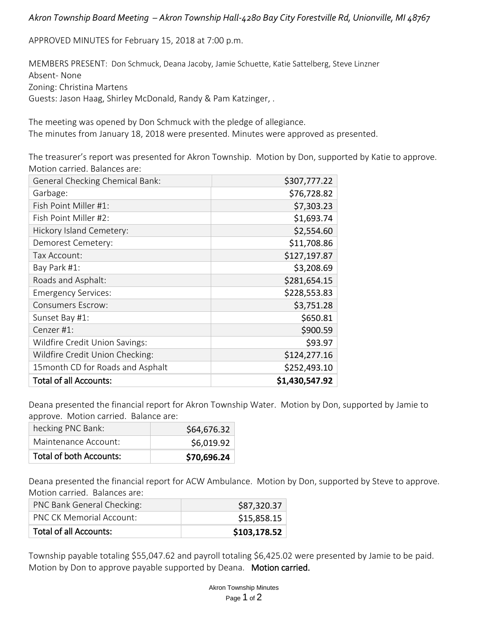### *Akron Township Board Meeting – Akron Township Hall-4280 Bay City Forestville Rd, Unionville, MI 48767*

APPROVED MINUTES for February 15, 2018 at 7:00 p.m.

MEMBERS PRESENT: Don Schmuck, Deana Jacoby, Jamie Schuette, Katie Sattelberg, Steve Linzner Absent- None Zoning: Christina Martens Guests: Jason Haag, Shirley McDonald, Randy & Pam Katzinger, .

The meeting was opened by Don Schmuck with the pledge of allegiance. The minutes from January 18, 2018 were presented. Minutes were approved as presented.

The treasurer's report was presented for Akron Township. Motion by Don, supported by Katie to approve. Motion carried. Balances are:

| <b>General Checking Chemical Bank:</b> | \$307,777.22   |
|----------------------------------------|----------------|
| Garbage:                               | \$76,728.82    |
| Fish Point Miller #1:                  | \$7,303.23     |
| Fish Point Miller #2:                  | \$1,693.74     |
| Hickory Island Cemetery:               | \$2,554.60     |
| Demorest Cemetery:                     | \$11,708.86    |
| Tax Account:                           | \$127,197.87   |
| Bay Park #1:                           | \$3,208.69     |
| Roads and Asphalt:                     | \$281,654.15   |
| <b>Emergency Services:</b>             | \$228,553.83   |
| <b>Consumers Escrow:</b>               | \$3,751.28     |
| Sunset Bay #1:                         | \$650.81       |
| Cenzer #1:                             | \$900.59       |
| Wildfire Credit Union Savings:         | \$93.97        |
| Wildfire Credit Union Checking:        | \$124,277.16   |
| 15 month CD for Roads and Asphalt      | \$252,493.10   |
| <b>Total of all Accounts:</b>          | \$1,430,547.92 |

Deana presented the financial report for Akron Township Water. Motion by Don, supported by Jamie to approve. Motion carried. Balance are:

| hecking PNC Bank:              | \$64,676.32 |
|--------------------------------|-------------|
| Maintenance Account:           | \$6,019.92  |
| <b>Total of both Accounts:</b> | \$70,696.24 |

Deana presented the financial report for ACW Ambulance. Motion by Don, supported by Steve to approve. Motion carried. Balances are:

| PNC Bank General Checking:      | \$87,320.37  |
|---------------------------------|--------------|
| <b>PNC CK Memorial Account:</b> | \$15,858.15  |
| <b>Total of all Accounts:</b>   | \$103,178.52 |

Township payable totaling \$55,047.62 and payroll totaling \$6,425.02 were presented by Jamie to be paid. Motion by Don to approve payable supported by Deana. Motion carried.